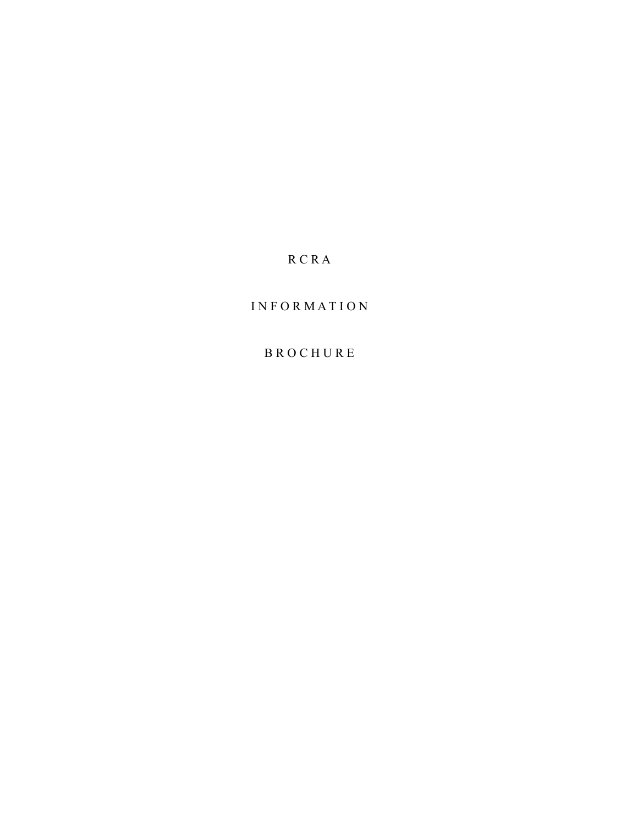# R C R A

# I N F O R M A T I O N

## B R O C H U R E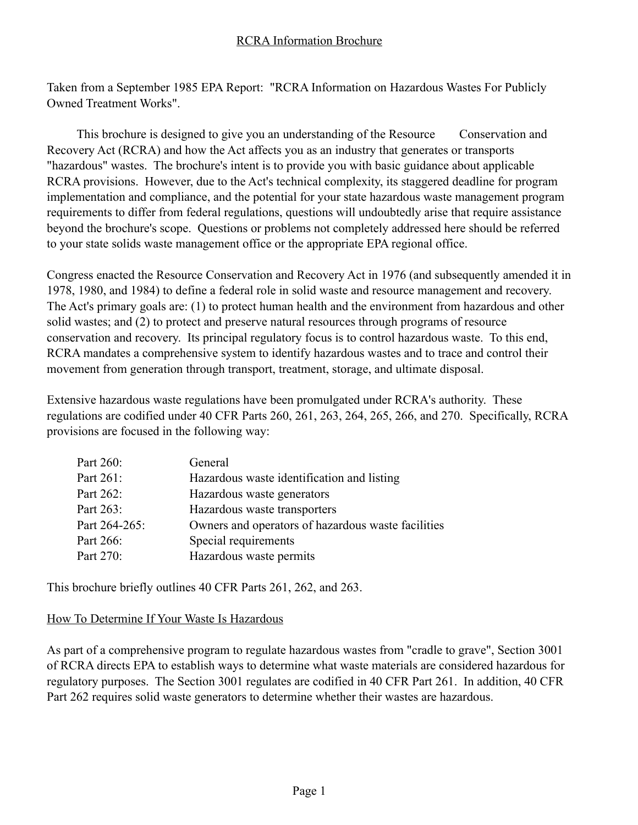Taken from a September 1985 EPA Report: "RCRA Information on Hazardous Wastes For Publicly Owned Treatment Works".

This brochure is designed to give you an understanding of the Resource Conservation and Recovery Act (RCRA) and how the Act affects you as an industry that generates or transports "hazardous" wastes. The brochure's intent is to provide you with basic guidance about applicable RCRA provisions. However, due to the Act's technical complexity, its staggered deadline for program implementation and compliance, and the potential for your state hazardous waste management program requirements to differ from federal regulations, questions will undoubtedly arise that require assistance beyond the brochure's scope. Questions or problems not completely addressed here should be referred to your state solids waste management office or the appropriate EPA regional office.

Congress enacted the Resource Conservation and Recovery Act in 1976 (and subsequently amended it in 1978, 1980, and 1984) to define a federal role in solid waste and resource management and recovery. The Act's primary goals are: (1) to protect human health and the environment from hazardous and other solid wastes; and (2) to protect and preserve natural resources through programs of resource conservation and recovery. Its principal regulatory focus is to control hazardous waste. To this end, RCRA mandates a comprehensive system to identify hazardous wastes and to trace and control their movement from generation through transport, treatment, storage, and ultimate disposal.

Extensive hazardous waste regulations have been promulgated under RCRA's authority. These regulations are codified under 40 CFR Parts 260, 261, 263, 264, 265, 266, and 270. Specifically, RCRA provisions are focused in the following way:

| Part 260:     | General                                            |
|---------------|----------------------------------------------------|
| Part 261:     | Hazardous waste identification and listing         |
| Part 262:     | Hazardous waste generators                         |
| Part 263:     | Hazardous waste transporters                       |
| Part 264-265: | Owners and operators of hazardous waste facilities |
| Part 266:     | Special requirements                               |
| Part 270:     | Hazardous waste permits                            |

This brochure briefly outlines 40 CFR Parts 261, 262, and 263.

### How To Determine If Your Waste Is Hazardous

As part of a comprehensive program to regulate hazardous wastes from "cradle to grave", Section 3001 of RCRA directs EPA to establish ways to determine what waste materials are considered hazardous for regulatory purposes. The Section 3001 regulates are codified in 40 CFR Part 261. In addition, 40 CFR Part 262 requires solid waste generators to determine whether their wastes are hazardous.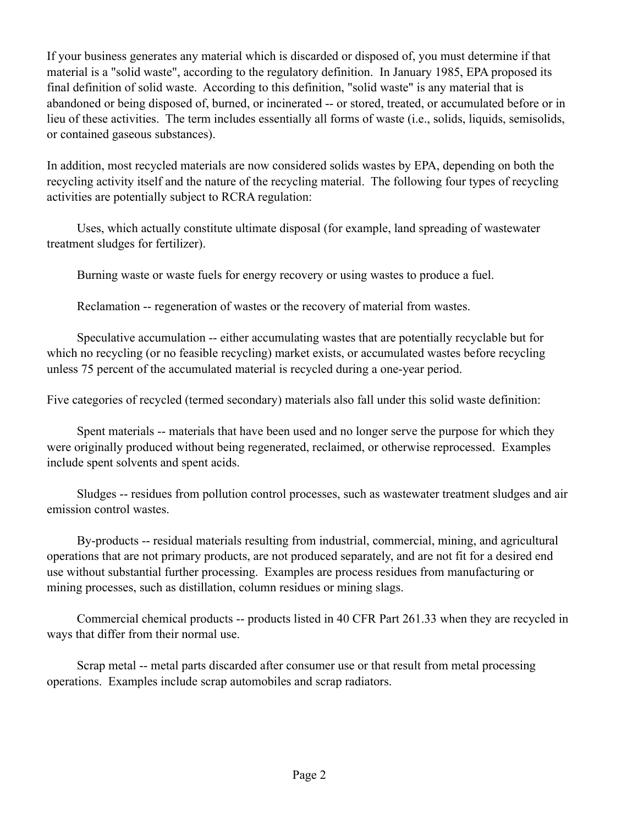If your business generates any material which is discarded or disposed of, you must determine if that material is a "solid waste", according to the regulatory definition. In January 1985, EPA proposed its final definition of solid waste. According to this definition, "solid waste" is any material that is abandoned or being disposed of, burned, or incinerated -- or stored, treated, or accumulated before or in lieu of these activities. The term includes essentially all forms of waste (i.e., solids, liquids, semisolids, or contained gaseous substances).

In addition, most recycled materials are now considered solids wastes by EPA, depending on both the recycling activity itself and the nature of the recycling material. The following four types of recycling activities are potentially subject to RCRA regulation:

 Uses, which actually constitute ultimate disposal (for example, land spreading of wastewater treatment sludges for fertilizer).

Burning waste or waste fuels for energy recovery or using wastes to produce a fuel.

Reclamation -- regeneration of wastes or the recovery of material from wastes.

 Speculative accumulation -- either accumulating wastes that are potentially recyclable but for which no recycling (or no feasible recycling) market exists, or accumulated wastes before recycling unless 75 percent of the accumulated material is recycled during a one-year period.

Five categories of recycled (termed secondary) materials also fall under this solid waste definition:

 Spent materials -- materials that have been used and no longer serve the purpose for which they were originally produced without being regenerated, reclaimed, or otherwise reprocessed. Examples include spent solvents and spent acids.

 Sludges -- residues from pollution control processes, such as wastewater treatment sludges and air emission control wastes.

 By-products -- residual materials resulting from industrial, commercial, mining, and agricultural operations that are not primary products, are not produced separately, and are not fit for a desired end use without substantial further processing. Examples are process residues from manufacturing or mining processes, such as distillation, column residues or mining slags.

 Commercial chemical products -- products listed in 40 CFR Part 261.33 when they are recycled in ways that differ from their normal use.

 Scrap metal -- metal parts discarded after consumer use or that result from metal processing operations. Examples include scrap automobiles and scrap radiators.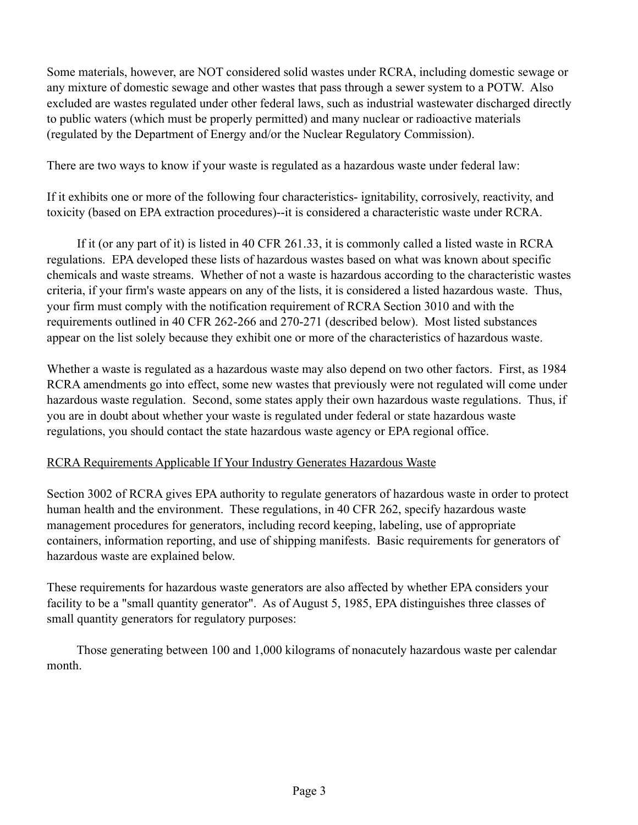Some materials, however, are NOT considered solid wastes under RCRA, including domestic sewage or any mixture of domestic sewage and other wastes that pass through a sewer system to a POTW. Also excluded are wastes regulated under other federal laws, such as industrial wastewater discharged directly to public waters (which must be properly permitted) and many nuclear or radioactive materials (regulated by the Department of Energy and/or the Nuclear Regulatory Commission).

There are two ways to know if your waste is regulated as a hazardous waste under federal law:

If it exhibits one or more of the following four characteristics- ignitability, corrosively, reactivity, and toxicity (based on EPA extraction procedures)--it is considered a characteristic waste under RCRA.

 If it (or any part of it) is listed in 40 CFR 261.33, it is commonly called a listed waste in RCRA regulations. EPA developed these lists of hazardous wastes based on what was known about specific chemicals and waste streams. Whether of not a waste is hazardous according to the characteristic wastes criteria, if your firm's waste appears on any of the lists, it is considered a listed hazardous waste. Thus, your firm must comply with the notification requirement of RCRA Section 3010 and with the requirements outlined in 40 CFR 262-266 and 270-271 (described below). Most listed substances appear on the list solely because they exhibit one or more of the characteristics of hazardous waste.

Whether a waste is regulated as a hazardous waste may also depend on two other factors. First, as 1984 RCRA amendments go into effect, some new wastes that previously were not regulated will come under hazardous waste regulation. Second, some states apply their own hazardous waste regulations. Thus, if you are in doubt about whether your waste is regulated under federal or state hazardous waste regulations, you should contact the state hazardous waste agency or EPA regional office.

## RCRA Requirements Applicable If Your Industry Generates Hazardous Waste

Section 3002 of RCRA gives EPA authority to regulate generators of hazardous waste in order to protect human health and the environment. These regulations, in 40 CFR 262, specify hazardous waste management procedures for generators, including record keeping, labeling, use of appropriate containers, information reporting, and use of shipping manifests. Basic requirements for generators of hazardous waste are explained below.

These requirements for hazardous waste generators are also affected by whether EPA considers your facility to be a "small quantity generator". As of August 5, 1985, EPA distinguishes three classes of small quantity generators for regulatory purposes:

 Those generating between 100 and 1,000 kilograms of nonacutely hazardous waste per calendar month.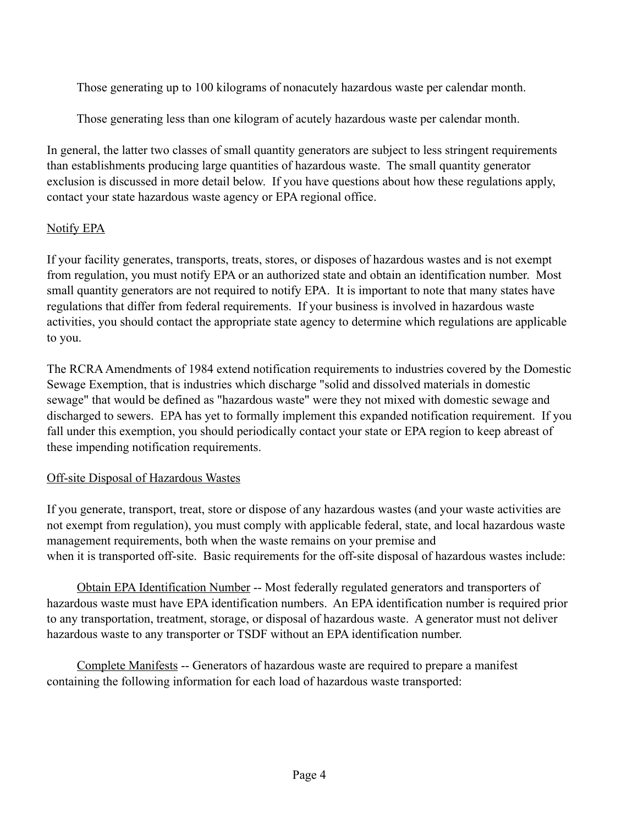Those generating up to 100 kilograms of nonacutely hazardous waste per calendar month.

Those generating less than one kilogram of acutely hazardous waste per calendar month.

In general, the latter two classes of small quantity generators are subject to less stringent requirements than establishments producing large quantities of hazardous waste. The small quantity generator exclusion is discussed in more detail below. If you have questions about how these regulations apply, contact your state hazardous waste agency or EPA regional office.

## Notify EPA

If your facility generates, transports, treats, stores, or disposes of hazardous wastes and is not exempt from regulation, you must notify EPA or an authorized state and obtain an identification number. Most small quantity generators are not required to notify EPA. It is important to note that many states have regulations that differ from federal requirements. If your business is involved in hazardous waste activities, you should contact the appropriate state agency to determine which regulations are applicable to you.

The RCRA Amendments of 1984 extend notification requirements to industries covered by the Domestic Sewage Exemption, that is industries which discharge "solid and dissolved materials in domestic sewage" that would be defined as "hazardous waste" were they not mixed with domestic sewage and discharged to sewers. EPA has yet to formally implement this expanded notification requirement. If you fall under this exemption, you should periodically contact your state or EPA region to keep abreast of these impending notification requirements.

## Off-site Disposal of Hazardous Wastes

If you generate, transport, treat, store or dispose of any hazardous wastes (and your waste activities are not exempt from regulation), you must comply with applicable federal, state, and local hazardous waste management requirements, both when the waste remains on your premise and when it is transported off-site. Basic requirements for the off-site disposal of hazardous wastes include:

Obtain EPA Identification Number -- Most federally regulated generators and transporters of hazardous waste must have EPA identification numbers. An EPA identification number is required prior to any transportation, treatment, storage, or disposal of hazardous waste. A generator must not deliver hazardous waste to any transporter or TSDF without an EPA identification number.

Complete Manifests -- Generators of hazardous waste are required to prepare a manifest containing the following information for each load of hazardous waste transported: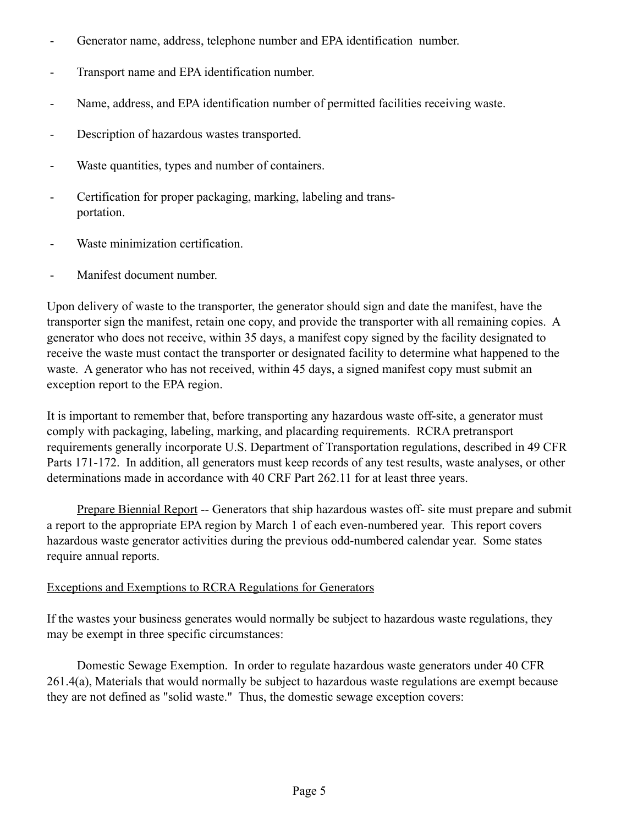- Generator name, address, telephone number and EPA identification number.
- Transport name and EPA identification number.
- Name, address, and EPA identification number of permitted facilities receiving waste.
- Description of hazardous wastes transported.
- Waste quantities, types and number of containers.
- Certification for proper packaging, marking, labeling and trans portation.
- Waste minimization certification.
- Manifest document number.

Upon delivery of waste to the transporter, the generator should sign and date the manifest, have the transporter sign the manifest, retain one copy, and provide the transporter with all remaining copies. A generator who does not receive, within 35 days, a manifest copy signed by the facility designated to receive the waste must contact the transporter or designated facility to determine what happened to the waste. A generator who has not received, within 45 days, a signed manifest copy must submit an exception report to the EPA region.

It is important to remember that, before transporting any hazardous waste off-site, a generator must comply with packaging, labeling, marking, and placarding requirements. RCRA pretransport requirements generally incorporate U.S. Department of Transportation regulations, described in 49 CFR Parts 171-172. In addition, all generators must keep records of any test results, waste analyses, or other determinations made in accordance with 40 CRF Part 262.11 for at least three years.

Prepare Biennial Report -- Generators that ship hazardous wastes off- site must prepare and submit a report to the appropriate EPA region by March 1 of each even-numbered year. This report covers hazardous waste generator activities during the previous odd-numbered calendar year. Some states require annual reports.

### Exceptions and Exemptions to RCRA Regulations for Generators

If the wastes your business generates would normally be subject to hazardous waste regulations, they may be exempt in three specific circumstances:

 Domestic Sewage Exemption. In order to regulate hazardous waste generators under 40 CFR 261.4(a), Materials that would normally be subject to hazardous waste regulations are exempt because they are not defined as "solid waste." Thus, the domestic sewage exception covers: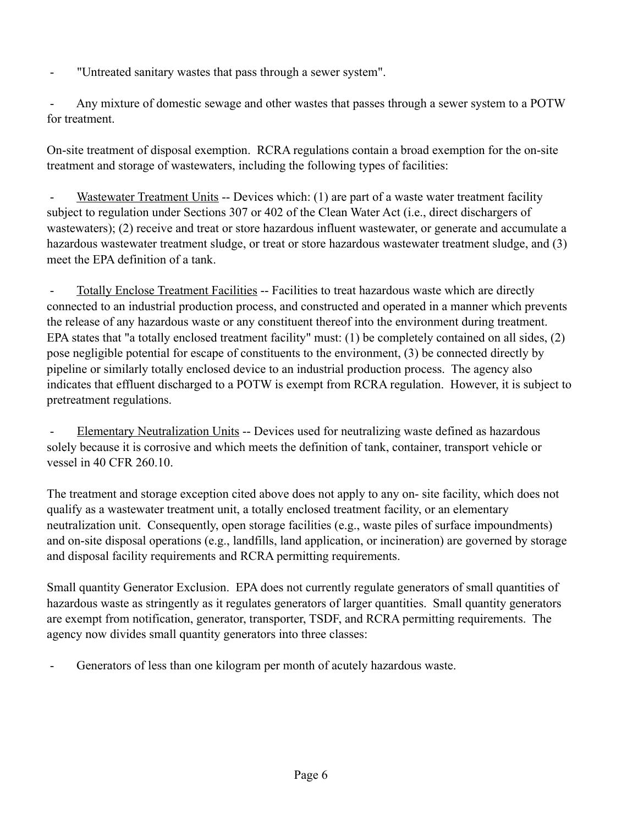"Untreated sanitary wastes that pass through a sewer system".

Any mixture of domestic sewage and other wastes that passes through a sewer system to a POTW for treatment.

On-site treatment of disposal exemption. RCRA regulations contain a broad exemption for the on-site treatment and storage of wastewaters, including the following types of facilities:

Wastewater Treatment Units -- Devices which: (1) are part of a waste water treatment facility subject to regulation under Sections 307 or 402 of the Clean Water Act (i.e., direct dischargers of wastewaters); (2) receive and treat or store hazardous influent wastewater, or generate and accumulate a hazardous wastewater treatment sludge, or treat or store hazardous wastewater treatment sludge, and (3) meet the EPA definition of a tank.

 - Totally Enclose Treatment Facilities -- Facilities to treat hazardous waste which are directly connected to an industrial production process, and constructed and operated in a manner which prevents the release of any hazardous waste or any constituent thereof into the environment during treatment. EPA states that "a totally enclosed treatment facility" must: (1) be completely contained on all sides, (2) pose negligible potential for escape of constituents to the environment, (3) be connected directly by pipeline or similarly totally enclosed device to an industrial production process. The agency also indicates that effluent discharged to a POTW is exempt from RCRA regulation. However, it is subject to pretreatment regulations.

Elementary Neutralization Units -- Devices used for neutralizing waste defined as hazardous solely because it is corrosive and which meets the definition of tank, container, transport vehicle or vessel in 40 CFR 260.10.

The treatment and storage exception cited above does not apply to any on- site facility, which does not qualify as a wastewater treatment unit, a totally enclosed treatment facility, or an elementary neutralization unit. Consequently, open storage facilities (e.g., waste piles of surface impoundments) and on-site disposal operations (e.g., landfills, land application, or incineration) are governed by storage and disposal facility requirements and RCRA permitting requirements.

Small quantity Generator Exclusion. EPA does not currently regulate generators of small quantities of hazardous waste as stringently as it regulates generators of larger quantities. Small quantity generators are exempt from notification, generator, transporter, TSDF, and RCRA permitting requirements. The agency now divides small quantity generators into three classes:

Generators of less than one kilogram per month of acutely hazardous waste.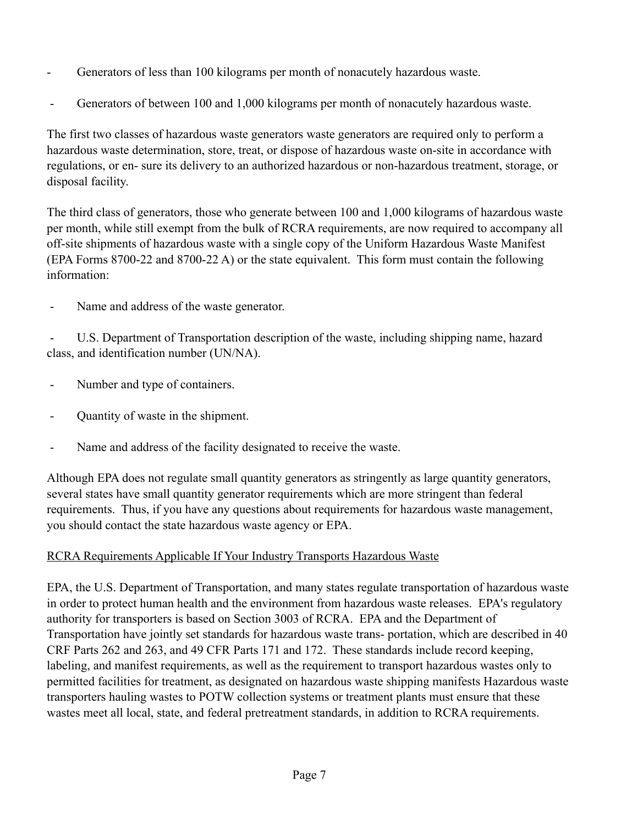- Generators of less than 100 kilograms per month of nonacutely hazardous waste.
- Generators of between 100 and 1,000 kilograms per month of nonacutely hazardous waste.

The first two classes of hazardous waste generators waste generators are required only to perform a hazardous waste determination, store, treat, or dispose of hazardous waste on-site in accordance with regulations, or en- sure its delivery to an authorized hazardous or non-hazardous treatment, storage, or disposal facility.

The third class of generators, those who generate between 100 and 1,000 kilograms of hazardous waste per month, while still exempt from the bulk of RCRA requirements, are now required to accompany all off-site shipments of hazardous waste with a single copy of the Uniform Hazardous Waste Manifest (EPA Forms 8700-22 and 8700-22 A) or the state equivalent. This form must contain the following information:

Name and address of the waste generator.

 - U.S. Department of Transportation description of the waste, including shipping name, hazard class, and identification number (UN/NA).

- Number and type of containers.
- Quantity of waste in the shipment.
- Name and address of the facility designated to receive the waste.

Although EPA does not regulate small quantity generators as stringently as large quantity generators, several states have small quantity generator requirements which are more stringent than federal requirements. Thus, if you have any questions about requirements for hazardous waste management, you should contact the state hazardous waste agency or EPA.

## RCRA Requirements Applicable If Your Industry Transports Hazardous Waste

EPA, the U.S. Department of Transportation, and many states regulate transportation of hazardous waste in order to protect human health and the environment from hazardous waste releases. EPA's regulatory authority for transporters is based on Section 3003 of RCRA. EPA and the Department of Transportation have jointly set standards for hazardous waste trans- portation, which are described in 40 CRF Parts 262 and 263, and 49 CFR Parts 171 and 172. These standards include record keeping, labeling, and manifest requirements, as well as the requirement to transport hazardous wastes only to permitted facilities for treatment, as designated on hazardous waste shipping manifests Hazardous waste transporters hauling wastes to POTW collection systems or treatment plants must ensure that these wastes meet all local, state, and federal pretreatment standards, in addition to RCRA requirements.